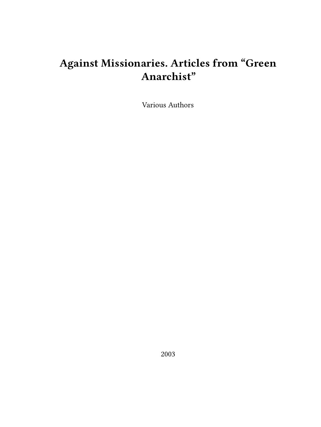# **Against Missionaries. Articles from "Green Anarchist"**

Various Authors

2003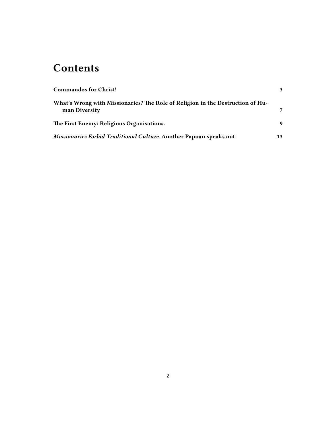### **Contents**

| <b>Commandos for Christ!</b>                                                                    | $\mathbf{3}$ |
|-------------------------------------------------------------------------------------------------|--------------|
| What's Wrong with Missionaries? The Role of Religion in the Destruction of Hu-<br>man Diversity |              |
|                                                                                                 |              |
| The First Enemy: Religious Organisations.                                                       | 9            |
| Missionaries Forbid Traditional Culture. Another Papuan speaks out                              | 13           |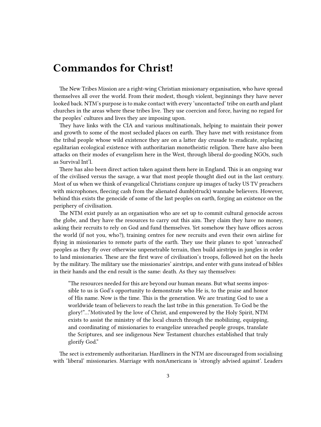### <span id="page-2-0"></span>**Commandos for Christ!**

The New Tribes Mission are a right-wing Christian missionary organisation, who have spread themselves all over the world. From their modest, though violent, beginnings they have never looked back. NTM's purpose is to make contact with every 'uncontacted' tribe on earth and plant churches in the areas where these tribes live. They use coercion and force, having no regard for the peoples' cultures and lives they are imposing upon.

They have links with the CIA and various multinationals, helping to maintain their power and growth to some of the most secluded places on earth. They have met with resistance from the tribal people whose wild existence they are on a latter day crusade to eradicate, replacing egalitarian ecological existence with authoritarian monotheistic religion. There have also been attacks on their modes of evangelism here in the West, through liberal do-gooding NGOs, such as Survival Int'l.

There has also been direct action taken against them here in England. This is an ongoing war of the civilised versus the savage, a war that most people thought died out in the last century. Most of us when we think of evangelical Christians conjure up images of tacky US TV preachers with microphones, fleecing cash from the alienated dumb(struck) wannabe believers. However, behind this exists the genocide of some of the last peoples on earth, forging an existence on the periphery of civilisation.

The NTM exist purely as an organisation who are set up to commit cultural genocide across the globe, and they have the resources to carry out this aim. They claim they have no money, asking their recruits to rely on God and fund themselves. Yet somehow they have offices across the world (if not you, who?), training centres for new recruits and even their own airline for flying in missionaries to remote parts of the earth. They use their planes to spot 'unreached' peoples as they fly over otherwise unpenetrable terrain, then build airstrips in jungles in order to land missionaries. These are the first wave of civilisation's troops, followed hot on the heels by the military. The military use the missionaries' airstrips, and enter with guns instead of bibles in their hands and the end result is the same: death. As they say themselves:

"The resources needed for this are beyond our human means. But what seems impossible to us is God's opportunity to demonstrate who He is, to the praise and honor of His name. Now is the time. This is the generation. We are trusting God to use a worldwide team of believers to reach the last tribe in this generation. To God be the glory!"…"Motivated by the love of Christ, and empowered by the Holy Spirit, NTM exists to assist the ministry of the local church through the mobilizing, equipping, and coordinating of missionaries to evangelize unreached people groups, translate the Scriptures, and see indigenous New Testament churches established that truly glorify God."

The sect is extrememly authoritarian. Hardliners in the NTM are discouraged from socialising with 'liberal' missionaries. Marriage with nonAmericans is 'strongly advised against'. Leaders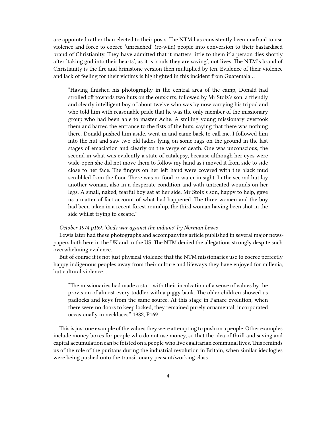are appointed rather than elected to their posts. The NTM has consistently been unafraid to use violence and force to coerce 'unreached' (re-wild) people into conversion to their bastardised brand of Christianity. They have admitted that it matters little to them if a person dies shortly after 'taking god into their hearts', as it is 'souls they are saving', not lives. The NTM's brand of Christianity is the fire and brimstone version then multiplied by ten. Evidence of their violence and lack of feeling for their victims is highlighted in this incident from Guatemala…

"Having finished his photography in the central area of the camp, Donald had strolled off towards two huts on the outskirts, followed by Mr Stolz's son, a friendly and clearly intelligent boy of about twelve who was by now carrying his tripod and who told him with reasonable pride that he was the only member of the missionary group who had been able to master Ache. A smiling young missionary overtook them and barred the entrance to the fists of the huts, saying that there was nothing there. Donald pushed him aside, went in and came back to call me. I followed him into the hut and saw two old ladies lying on some rags on the ground in the last stages of emaciation and clearly on the verge of death. One was unconscious, the second in what was evidently a state of catalepsy, because although her eyes were wide-open she did not move them to follow my hand as i moved it from side to side close to her face. The fingers on her left hand were covered with the black mud scrabbled from the floor. There was no food or water in sight. In the second hut lay another woman, also in a desperate condition and with untreated wounds on her legs. A small, naked, tearful boy sat at her side. Mr Stolz's son, happy to help, gave us a matter of fact account of what had happened. The three women and the boy had been taken in a recent forest roundup, the third woman having been shot in the side whilst trying to escape."

#### *October 1974 p159, 'Gods war against the indians' by Norman Lewis*

Lewis later had these photographs and accompanying article published in several major newspapers both here in the UK and in the US. The NTM denied the allegations strongly despite such overwhelming evidence.

But of course it is not just physical violence that the NTM missionaries use to coerce perfectly happy indigenous peoples away from their culture and lifeways they have enjoyed for millenia, but cultural violence…

"The missionaries had made a start with their inculcation of a sense of values by the provision of almost every toddler with a piggy bank. The older children showed us padlocks and keys from the same source. At this stage in Panare evolution, when there were no doors to keep locked, they remained purely ornamental, incorporated occasionally in necklaces." 1982, P169

This is just one example of the values they were attempting to push on a people. Other examples include money boxes for people who do not use money, so that the idea of thrift and saving and capital accumulation can be foisted on a people who live egalitarian communal lives.This reminds us of the role of the puritans during the industrial revolution in Britain, when similar ideologies were being pushed onto the transitionary peasant/working class.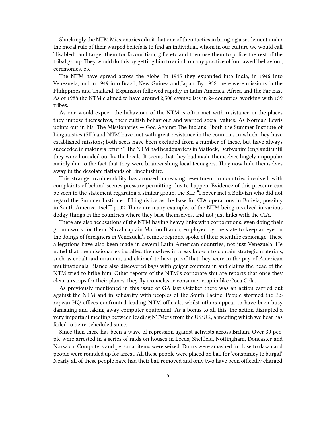Shockingly the NTM Missionaries admit that one of their tactics in bringing a settlement under the moral rule of their warped beliefs is to find an individual, whom in our culture we would call 'disabled', and target them for favouritism, gifts etc and then use them to police the rest of the tribal group. They would do this by getting him to snitch on any practice of 'outlawed' behaviour, ceremonies, etc.

The NTM have spread across the globe. In 1945 they expanded into India, in 1946 into Venezuela, and in 1949 into Brazil, New Guinea and Japan. By 1952 there were missions in the Philippines and Thailand. Expansion followed rapidly in Latin America, Africa and the Far East. As of 1988 the NTM claimed to have around 2,500 evangelists in 24 countries, working with 159 tribes.

As one would expect, the behaviour of the NTM is often met with resistance in the places they impose themselves, their cultish behaviour and warped social values. As Norman Lewis points out in his 'The Missionaries — God Against The Indians' "both the Summer Institute of Linguaistics (SIL) and NTM have met with great resistance in the countries in which they have established missions; both sects have been excluded from a number of these, but have always succeeded in making a return".The NTM had headquarters in Matlock, Derbyshire (england) until they were hounded out by the locals. It seems that they had made themselves hugely unpopular mainly due to the fact that they were brainwashing local teenagers. They now hide themselves away in the desolate flatlands of Lincolnshire.

This strange invulnerability has aroused increasing resentment in countries involved, with complaints of behind-scenes pressure permitting this to happen. Evidence of this pressure can be seen in the statement regarding a similar group, the SIL: "I never met a Bolivian who did not regard the Summer Institute of Linguistics as the base for CIA operations in Bolivia; possibly in South America itself." p102. There are many examples of the NTM being involved in various dodgy things in the countries where they base themselves, and not just links with the CIA.

There are also accusations of the NTM having heavy links with corporations, even doing their groundwork for them. Naval captain Marino Blanco, employed by the state to keep an eye on the doings of foreigners in Venezuela's remote regions, spoke of their scientific espionage. These allegations have also been made in several Latin American countries, not just Venezuela. He noted that the missionaries installed themselves in areas known to contain strategic materials, such as cobalt and uranium, and claimed to have proof that they were in the pay of American multinationals. Blanco also discovered bags with geiger counters in and claims the head of the NTM tried to bribe him. Other reports of the NTM's corporate shit are reports that once they clear airstrips for their planes, they fly iconoclastic consumer crap in like Coca Cola.

As previously mentioned in this issue of GA last October there was an action carried out against the NTM and in solidarity with peoples of the South Pacific. People stormed the European HQ offices confronted leading NTM officials, whilst others appear to have been busy damaging and taking away computer equipment. As a bonus to all this, the action disrupted a very important meeting between leading NTMers from the US/UK, a meeting which we hear has failed to be re-scheduled since.

Since then there has been a wave of repression against activists across Britain. Over 30 people were arrested in a series of raids on houses in Leeds, Sheffield, Nottingham, Doncaster and Norwich. Computers and personal items were seized. Doors were smashed in close to dawn and people were rounded up for arrest. All these people were placed on bail for 'conspiracy to burgal'. Nearly all of these people have had their bail removed and only two have been officially charged.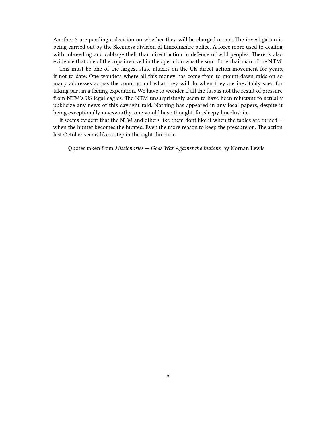Another 3 are pending a decision on whether they will be charged or not. The investigation is being carried out by the Skegness division of Lincolnshire police. A force more used to dealing with inbreeding and cabbage theft than direct action in defence of wild peoples. There is also evidence that one of the cops involved in the operation was the son of the chairman of the NTM!

This must be one of the largest state attacks on the UK direct action movement for years, if not to date. One wonders where all this money has come from to mount dawn raids on so many addresses across the country, and what they will do when they are inevitably sued for taking part in a fishing expedition. We have to wonder if all the fuss is not the result of pressure from NTM's US legal eagles. The NTM unsurprisingly seem to have been reluctant to actually publicize any news of this daylight raid. Nothing has appeared in any local papers, despite it being exceptionally newsworthy, one would have thought, for sleepy lincolnshite.

It seems evident that the NTM and others like them dont like it when the tables are turned when the hunter becomes the hunted. Even the more reason to keep the pressure on. The action last October seems like a step in the right direction.

Quotes taken from *Missionaries — Gods War Against the Indians*, by Nornan Lewis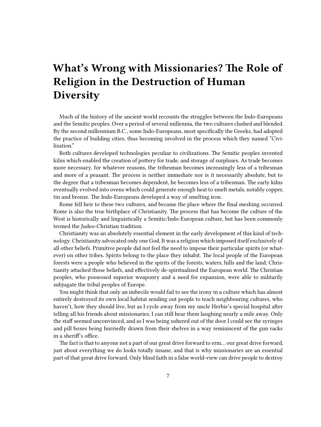### <span id="page-6-0"></span>**What's Wrong with Missionaries? The Role of Religion in the Destruction of Human Diversity**

Much of the history of the ancient world recounts the struggles between the Indo-Europeans and the Semitic peoples. Over a period of several millennia, the two cultures clashed and blended. By the second millennium B.C., some Indo-Europeans, most specifically the Greeks, had adopted the practice of building cities, thus becoming involved in the process which they named "Civilization."

Both cultures developed technologies peculiar to civilizations. The Semitic peoples invented kilns which enabled the creation of pottery for trade, and storage of surpluses. As trade becomes more necessary, for whatever reasons, the tribesman becomes increasingly less of a tribesman and more of a peasant. The process is neither immediate nor is it necessarily absolute, but to the degree that a tribesman becomes dependent, he becomes less of a tribesman. The early kilns eventually evolved into ovens which could generate enough heat to smelt metals, notably copper, tin and bronze. The Indo-Europeans developed a way of smelting iron.

Rome fell heir to these two cultures, and became the place where the final meshing occurred. Rome is also the true birthplace of Christianity. The process that has become the culture of the West is historically and linguistically a Semitic/Indo-European culture, but has been commonly termed the Judeo-Christian tradition.

Christianity was an absolutely essential element in the early development of this kind of technology. Christianity advocated only one God. It was a religion which imposed itself exclusively of all other beliefs. Primitive people did not feel the need to impose their particular spirits (or whatever) on other tribes. Spirits belong to the place they inhabit. The local people of the European forests were a people who believed in the spirits of the forests, waters, hills and the land; Christianity attacked those beliefs, and effectively de-spiritualized the European world. The Christian peoples, who possessed superior weaponry and a need for expansion, were able to militarily subjugate the tribal peoples of Europe.

You might think that only an imbecile would fail to see the irony in a culture which has almost entirely destroyed its own local habitat sending out people to teach neighbouring cultures, who haven't, how they should live, but as I cycle away from my uncle Herbie's special hospital after telling all his friends about missionaries, I can still hear them laughing nearly a mile away. Only the staff seemed unconvinced, and as I was being ushered out of the door I could see the syringes and pill boxes being hurriedly drawn from their shelves in a way reminiscent of the gun racks in a sheriff's office.

The fact is that to anyone not a part of our great drive forward to erm… our great drive forward, just about everything we do looks totally insane, and that is why missionaries are an essential part of that great drive forward. Only blind faith in a false world-view can drive people to destroy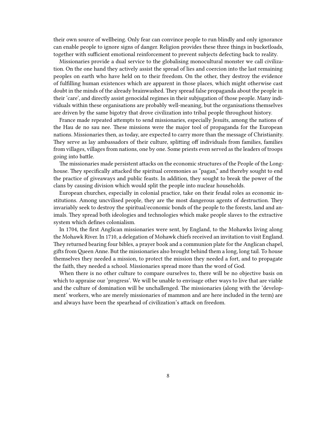their own source of wellbeing. Only fear can convince people to run blindly and only ignorance can enable people to ignore signs of danger. Religion provides these three things in bucketloads, together with sufficient emotional reinforcement to prevent subjects defecting back to reality.

Missionaries provide a dual service to the globalising monocultural monster we call civilization. On the one hand they actively assist the spread of lies and coercion into the last remaining peoples on earth who have held on to their freedom. On the other, they destroy the evidence of fulfilling human existences which are apparent in those places, which might otherwise cast doubt in the minds of the already brainwashed. They spread false propaganda about the people in their 'care', and directly assist genocidal regimes in their subjugation of those people. Many individuals within these organisations are probably well-meaning, but the organisations themselves are driven by the same bigotry that drove civilization into tribal people throughout history.

France made repeated attempts to send missionaries, especially Jesuits, among the nations of the Hau de no sau nee. These missions were the major tool of propaganda for the European nations. Missionaries then, as today, are expected to carry more than the message of Christianity. They serve as lay ambassadors of their culture, splitting off individuals from families, families from villages, villages from nations, one by one. Some priests even served as the leaders of troops going into battle.

The missionaries made persistent attacks on the economic structures of the People of the Longhouse. They specifically attacked the spiritual ceremonies as "pagan," and thereby sought to end the practice of giveaways and public feasts. In addition, they sought to break the power of the clans by causing division which would split the people into nuclear households.

European churches, especially in colonial practice, take on their feudal roles as economic institutions. Among uncvilised people, they are the most dangerous agents of destruction. They invariably seek to destroy the spiritual/economic bonds of the people to the forests, land and animals. They spread both ideologies and technologies which make people slaves to the extractive system which defines colonialism.

In 1704, the first Anglican missionaries were sent, by England, to the Mohawks living along the Mohawk River. In 1710, a delegation of Mohawk chiefs received an invitation to visit England. They returned bearing four bibles, a prayer book and a communion plate for the Anglican chapel, gifts fromQueen Anne. But the missionaries also brought behind them a long, long tail. To house themselves they needed a mission, to protect the mission they needed a fort, and to propagate the faith, they needed a school. Missionaries spread more than the word of God.

When there is no other culture to compare ourselves to, there will be no objective basis on which to appraise our 'progress'. We will be unable to envisage other ways to live that are viable and the culture of domination will be unchallenged. The missionaries (along with the 'development' workers, who are merely missionaries of mammon and are here included in the term) are and always have been the spearhead of civilization's attack on freedom.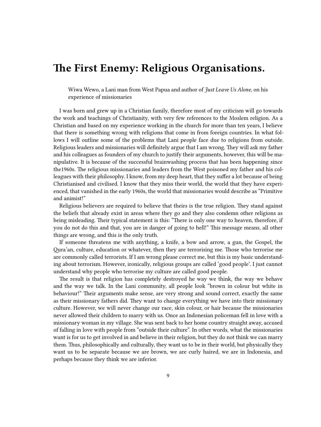### <span id="page-8-0"></span>**The First Enemy: Religious Organisations.**

Wiwa Wewo, a Lani man from West Papua and author of *Just Leave Us Alone*, on his experience of missionaries

I was born and grew up in a Christian family, therefore most of my criticism will go towards the work and teachings of Christianity, with very few references to the Moslem religion. As a Christian and based on my experience working in the church for more than ten years, I believe that there is something wrong with religions that come in from foreign countries. In what follows I will outline some of the problems that Lani people face due to religions from outside. Religious leaders and missionaries will definitely argue that I am wrong. They will ask my father and his colleagues as founders of my church to justify their arguments, however, this will be manipulative. It is because of the successful brainwashing process that has been happening since the1960s. The religious missionaries and leaders from the West poisoned my father and his colleagues with their philosophy. I know, from my deep heart, that they suffer a lot because of being Christianised and civilised. I know that they miss their world, the world that they have experienced, that vanished in the early 1960s, the world that missionaries would describe as "Primitive and animist!"

Religious believers are required to believe that theirs is the true religion. They stand against the beliefs that already exist in areas where they go and they also condemn other religions as being misleading. Their typical statement is this: "There is only one way to heaven, therefore, if you do not do this and that, you are in danger of going to hell!" This message means, all other things are wrong, and this is the only truth.

If someone threatens me with anything, a knife, a bow and arrow, a gun, the Gospel, the Qura'an, culture, education or whatever, then they are terrorising me. Those who terrorise me are commonly called terrorists. If I am wrong please correct me, but this is my basic understanding about terrorism. However, ironically, religious groups are called 'good people'. I just cannot understand why people who terrorise my culture are called good people.

The result is that religion has completely destroyed he way we think, the way we behave and the way we talk. In the Lani community, all people look "brown in colour but white in behaviour!" Their arguments make sense, are very strong and sound correct, exactly the same as their missionary fathers did. They want to change everything we have into their missionary culture. However, we will never change our race, skin colour, or hair because the missionaries never allowed their children to marry with us. Once an Indonesian policeman fell in love with a missionary woman in my village. She was sent back to her home country straight away, accused of falling in love with people from "outside their culture". In other words, what the missionaries want is for us to get involved in and believe in their religion, but they do not think we can marry them. Thus, philosophically and culturally, they want us to be in their world, but physically they want us to be separate because we are brown, we are curly haired, we are in Indonesia, and perhaps because they think we are inferior.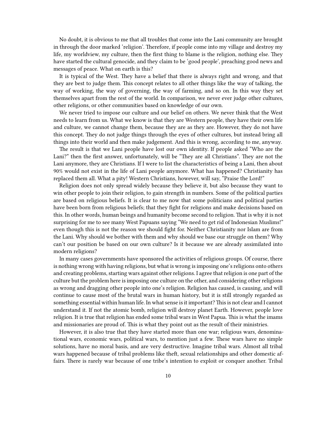No doubt, it is obvious to me that all troubles that come into the Lani community are brought in through the door marked 'religion'. Therefore, if people come into my village and destroy my life, my worldview, my culture, then the first thing to blame is the religion, nothing else. They have started the cultural genocide, and they claim to be 'good people', preaching good news and messages of peace. What on earth is this?

It is typical of the West. They have a belief that there is always right and wrong, and that they are best to judge them. This concept relates to all other things like the way of talking, the way of working, the way of governing, the way of farming, and so on. In this way they set themselves apart from the rest of the world. In comparison, we never ever judge other cultures, other religions, or other communities based on knowledge of our own.

We never tried to impose our culture and our belief on others. We never think that the West needs to learn from us. What we know is that they are Western people, they have their own life and culture, we cannot change them, because they are as they are. However, they do not have this concept. They do not judge things through the eyes of other cultures, but instead bring all things into their world and then make judgement. And this is wrong, according to me, anyway.

The result is that we Lani people have lost our own identity. If people asked "Who are the Lani?" then the first answer, unfortunately, will be "They are all Christians". They are not the Lani anymore, they are Christians. If I were to list the characteristics of being a Lani, then about 90% would not exist in the life of Lani people anymore. What has happened? Christianity has replaced them all. What a pity! Western Christians, however, will say, "Praise the Lord!"

Religion does not only spread widely because they believe it, but also because they want to win other people to join their religion, to gain strength in numbers. Some of the political parties are based on religious beliefs. It is clear to me now that some politicians and political parties have been born from religious beliefs; that they fight for religions and make decisions based on this. In other words, human beings and humanity become second to religion. That is why it is not surprising for me to see many West Papuans saying "We need to get rid of Indonesian Muslims!" even though this is not the reason we should fight for. Neither Christianity nor Islam are from the Lani. Why should we bother with them and why should we base our struggle on them? Why can't our position be based on our own culture? Is it because we are already assimilated into modern religions?

In many cases governments have sponsored the activities of religious groups. Of course, there is nothing wrong with having religions, but what is wrong is imposing one's religions onto others and creating problems, starting wars against other religions. I agree that religion is one part of the culture but the problem here is imposing one culture on the other, and considering other religions as wrong and dragging other people into one's religion. Religion has caused, is causing, and will continue to cause most of the brutal wars in human history, but it is still strongly regarded as something essential within human life. In what sense is it important?This is not clear and I cannot understand it. If not the atomic bomb, religion will destroy planet Earth. However, people love religion. It is true that religion has ended some tribal wars in West Papua. This is what the imams and missionaries are proud of. This is what they point out as the result of their ministries.

However, it is also true that they have started more than one war; religious wars, denominational wars, economic wars, political wars, to mention just a few. These wars have no simple solutions, have no moral basis, and are very destructive. Imagine tribal wars. Almost all tribal wars happened because of tribal problems like theft, sexual relationships and other domestic affairs. There is rarely war because of one tribe's intention to exploit or conquer another. Tribal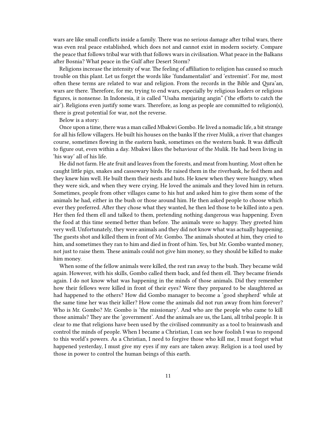wars are like small conflicts inside a family. There was no serious damage after tribal wars, there was even real peace established, which does not and cannot exist in modern society. Compare the peace that follows tribal war with that follows wars in civilisation. What peace in the Balkans after Bosnia? What peace in the Gulf after Desert Storm?

Religions increase the intensity of war. The feeling of affiliation to religion has caused so much trouble on this plant. Let us forget the words like 'fundamentalist' and 'extremist'. For me, most often these terms are related to war and religion. From the records in the Bible and Qura'an, wars are there. Therefore, for me, trying to end wars, especially by religious leaders or religious figures, is nonsense. In Indonesia, it is called "Usaha menjaring angin" ('the efforts to catch the air'). Religions even justify some wars. Therefore, as long as people are committed to religion(s), there is great potential for war, not the reverse.

Below is a story:

Once upon a time, there was a man called Mbakwi Gombo. He lived a nomadic life, a bit strange for all his fellow villagers. He built his houses on the banks lf the river Mulik, a river that changes course, sometimes flowing in the eastern bank, sometimes on the western bank. It was difficult to figure out, even within a day. Mbakwi likes the behaviour of the Mulik. He had been living in 'his way' all of his life.

He did not farm. He ate fruit and leaves from the forests, and meat from hunting. Most often he caught little pigs, snakes and cassowary birds. He raised them in the riverbank, he fed them and they knew him well. He built them their nests and huts. He knew when they were hungry, when they were sick, and when they were crying. He loved the animals and they loved him in return. Sometimes, people from other villages came to his hut and asked him to give them some of the animals he had, either in the bush or those around him. He then asked people to choose which ever they preferred. After they chose what they wanted, he then led those to be killed into a pen. Her then fed them ell and talked to them, pretending nothing dangerous was happening. Even the food at this time seemed better than before. The animals were so happy. They greeted him very well. Unfortunately, they were animals and they did not know what was actually happening. The guests shot and killed them in front of Mr. Gombo. The animals shouted at him, they cried to him, and sometimes they ran to him and died in front of him. Yes, but Mr. Gombo wanted money, not just to raise them. These animals could not give him money, so they should be killed to make him money.

When some of the fellow animals were killed, the rest ran away to the bush. They became wild again. However, with his skills, Gombo called them back, and fed them ell. They became friends again. I do not know what was happening in the minds of those animals. Did they remember how their fellows were killed in front of their eyes? Were they prepared to be slaughtered as had happened to the others? How did Gombo manager to become a 'good shepherd' while at the same time her was their killer? How come the animals did not run away from him forever? Who is Mr. Gombo? Mr. Gombo is 'the missionary'. And who are the people who came to kill those animals? They are the 'government'. And the animals are us, the Lani, all tribal people. It is clear to me that religions have been used by the civilised community as a tool to brainwash and control the minds of people. When I became a Christian, I can see how foolish I was to respond to this world's powers. As a Christian, I need to forgive those who kill me, I must forget what happened yesterday, I must give my eyes if my ears are taken away. Religion is a tool used by those in power to control the human beings of this earth.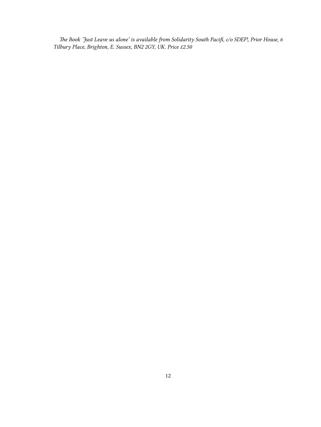*The Book 'Just Leave us alone' is available from Solidarity South Pacifi, c/o SDEF!, Prior House, 6 Tilbury Place, Brighton, E. Sussex, BN2 2GY, UK. Price £2.50*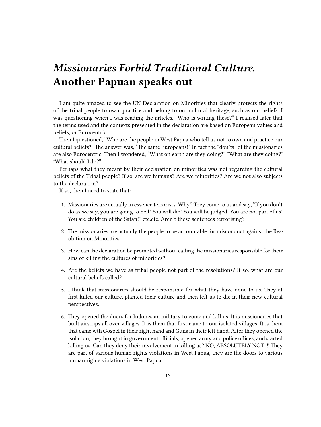## <span id="page-12-0"></span>*Missionaries Forbid Traditional Culture.* **Another Papuan speaks out**

I am quite amazed to see the UN Declaration on Minorities that clearly protects the rights of the tribal people to own, practice and belong to our cultural heritage, such as our beliefs. I was questioning when I was reading the articles, "Who is writing these?" I realised later that the terms used and the contexts presented in the declaration are based on European values and beliefs, or Eurocentric.

Then I questioned, "Who are the people in West Papua who tell us not to own and practice our cultural beliefs?" The answer was, "The same Europeans!" In fact the "don'ts" of the missionaries are also Eurocentric. Then I wondered, "What on earth are they doing?" "What are they doing?" "What should I do?"

Perhaps what they meant by their declaration on minorities was not regarding the cultural beliefs of the Tribal people? If so, are we humans? Are we minorities? Are we not also subjects to the declaration?

If so, then I need to state that:

- 1. Missionaries are actually in essence terrorists. Why? They come to us and say, "If you don't do as we say, you are going to hell! You will die! You will be judged! You are not part of us! You are children of the Satan!" etc.etc. Aren't these sentences terrorising?
- 2. The missionaries are actually the people to be accountable for misconduct against the Resolution on Minorities.
- 3. How can the declaration be promoted without calling the missionaries responsible for their sins of killing the cultures of minorities?
- 4. Are the beliefs we have as tribal people not part of the resolutions? If so, what are our cultural beliefs called?
- 5. I think that missionaries should be responsible for what they have done to us. They at first killed our culture, planted their culture and then left us to die in their new cultural perspectives.
- 6. They opened the doors for Indonesian military to come and kill us. It is missionaries that built airstrips all over villages. It is them that first came to our isolated villages. It is them that came wth Gospel in their right hand and Guns in their left hand. After they opened the isolation, they brought in government officials, opened army and police offices, and started killing us. Can they deny their involvement in killing us? NO, ABSOLUTELY NOT‼‼ They are part of various human rights violations in West Papua, they are the doors to various human rights violations in West Papua.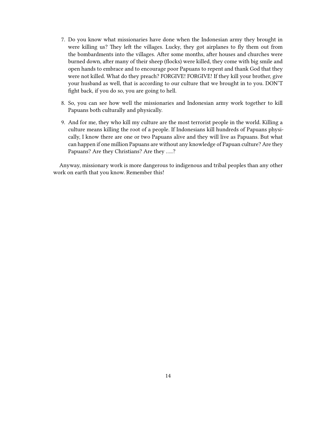- 7. Do you know what missionaries have done when the Indonesian army they brought in were killing us? They left the villages. Lucky, they got airplanes to fly them out from the bombardments into the villages. After some months, after houses and churches were burned down, after many of their sheep (flocks) were killed, they come with big smile and open hands to embrace and to encourage poor Papuans to repent and thank God that they were not killed. What do they preach? FORGIVE! FORGIVE! If they kill your brother, give your husband as well, that is according to our culture that we brought in to you. DON'T fight back, if you do so, you are going to hell.
- 8. So, you can see how well the missionaries and Indonesian army work together to kill Papuans both culturally and physically.
- 9. And for me, they who kill my culture are the most terrorist people in the world. Killing a culture means killing the root of a people. If Indonesians kill hundreds of Papuans physically, I know there are one or two Papuans alive and they will live as Papuans. But what can happen if one million Papuans are without any knowledge of Papuan culture? Are they Papuans? Are they Christians? Are they …..?

Anyway, missionary work is more dangerous to indigenous and tribal peoples than any other work on earth that you know. Remember this!